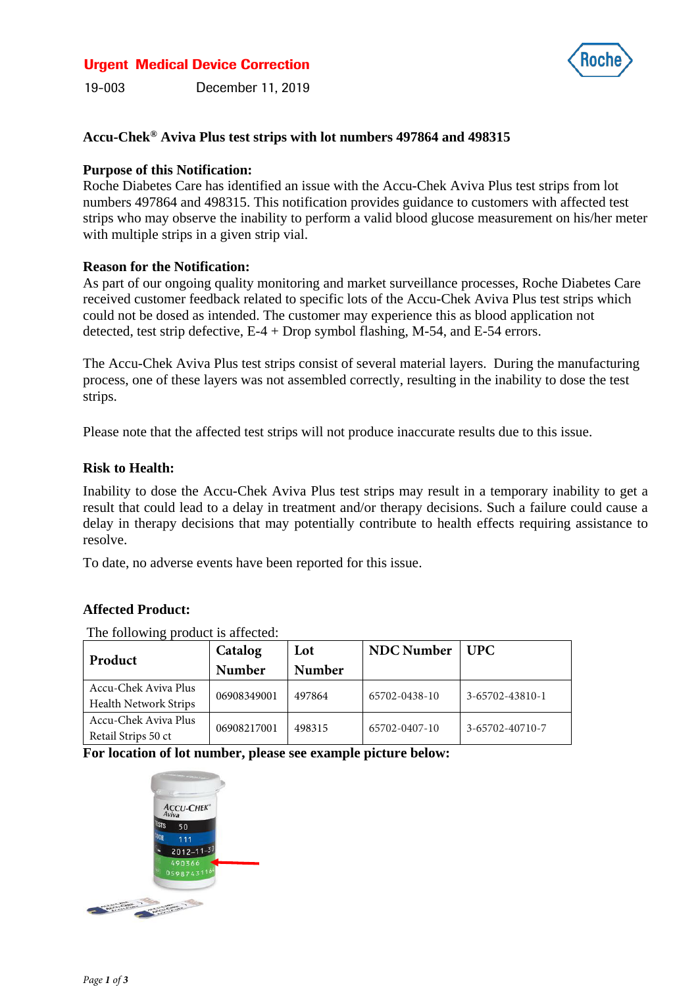## Urgent Medical Device Correction



19-003 December 11, 2019

## **Accu-Chek® Aviva Plus test strips with lot numbers 497864 and 498315**

#### **Purpose of this Notification:**

Roche Diabetes Care has identified an issue with the Accu-Chek Aviva Plus test strips from lot numbers 497864 and 498315. This notification provides guidance to customers with affected test strips who may observe the inability to perform a valid blood glucose measurement on his/her meter with multiple strips in a given strip vial.

### **Reason for the Notification:**

As part of our ongoing quality monitoring and market surveillance processes, Roche Diabetes Care received customer feedback related to specific lots of the Accu-Chek Aviva Plus test strips which could not be dosed as intended. The customer may experience this as blood application not detected, test strip defective,  $E-4$  + Drop symbol flashing, M-54, and E-54 errors.

The Accu-Chek Aviva Plus test strips consist of several material layers. During the manufacturing process, one of these layers was not assembled correctly, resulting in the inability to dose the test strips.

Please note that the affected test strips will not produce inaccurate results due to this issue.

### **Risk to Health:**

Inability to dose the Accu-Chek Aviva Plus test strips may result in a temporary inability to get a result that could lead to a delay in treatment and/or therapy decisions. Such a failure could cause a delay in therapy decisions that may potentially contribute to health effects requiring assistance to resolve.

To date, no adverse events have been reported for this issue.

## **Affected Product:**

The following product is affected:

| Product                      | Catalog       | Lot           | <b>NDC</b> Number | UPC             |
|------------------------------|---------------|---------------|-------------------|-----------------|
|                              | <b>Number</b> | <b>Number</b> |                   |                 |
| Accu-Chek Aviva Plus         | 06908349001   | 497864        | 65702-0438-10     | 3-65702-43810-1 |
| <b>Health Network Strips</b> |               |               |                   |                 |
| Accu-Chek Aviva Plus         | 06908217001   | 498315        | 65702-0407-10     | 3-65702-40710-7 |
| Retail Strips 50 ct          |               |               |                   |                 |

**For location of lot number, please see example picture below:**

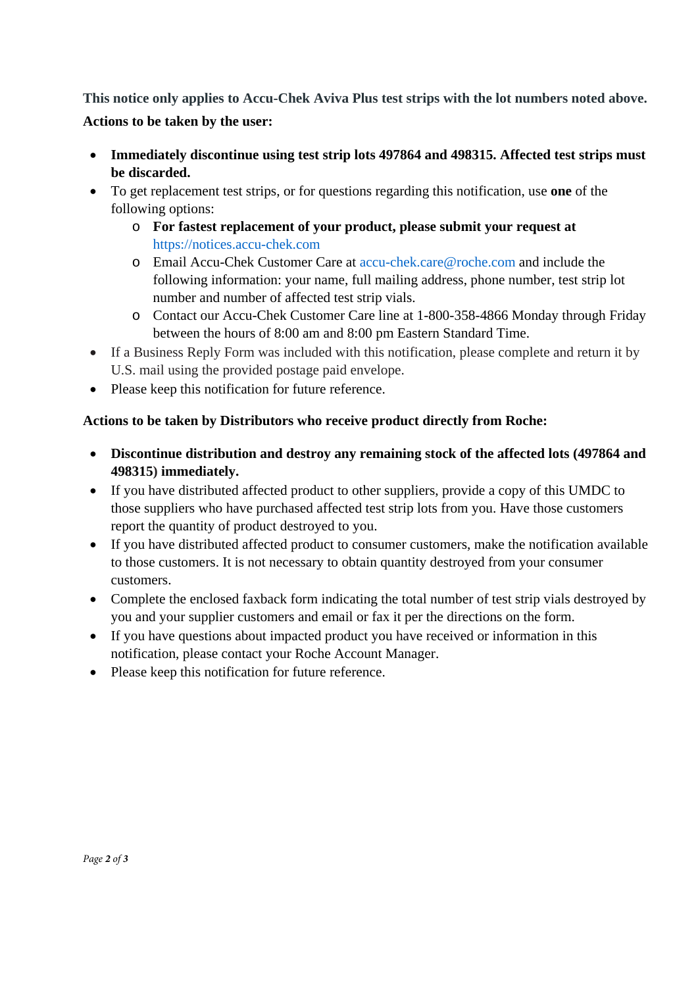**This notice only applies to Accu-Chek Aviva Plus test strips with the lot numbers noted above. Actions to be taken by the user:**

- **Immediately discontinue using test strip lots 497864 and 498315. Affected test strips must be discarded.**
- To get replacement test strips, or for questions regarding this notification, use **one** of the following options:
	- o **For fastest replacement of your product, please submit your request at**  [https://notices.accu-chek.com](https://notices.accu-chek.com/)
	- o Email Accu-Chek Customer Care at [accu-chek.care@roche.com](mailto:accu-chek.care@roche.com) and include the following information: your name, full mailing address, phone number, test strip lot number and number of affected test strip vials.
	- o Contact our Accu-Chek Customer Care line at 1-800-358-4866 Monday through Friday between the hours of 8:00 am and 8:00 pm Eastern Standard Time.
- If a Business Reply Form was included with this notification, please complete and return it by U.S. mail using the provided postage paid envelope.
- Please keep this notification for future reference.

# **Actions to be taken by Distributors who receive product directly from Roche:**

- **Discontinue distribution and destroy any remaining stock of the affected lots (497864 and 498315) immediately.**
- If you have distributed affected product to other suppliers, provide a copy of this UMDC to those suppliers who have purchased affected test strip lots from you. Have those customers report the quantity of product destroyed to you.
- If you have distributed affected product to consumer customers, make the notification available to those customers. It is not necessary to obtain quantity destroyed from your consumer customers.
- Complete the enclosed faxback form indicating the total number of test strip vials destroyed by you and your supplier customers and email or fax it per the directions on the form.
- If you have questions about impacted product you have received or information in this notification, please contact your Roche Account Manager.
- Please keep this notification for future reference.